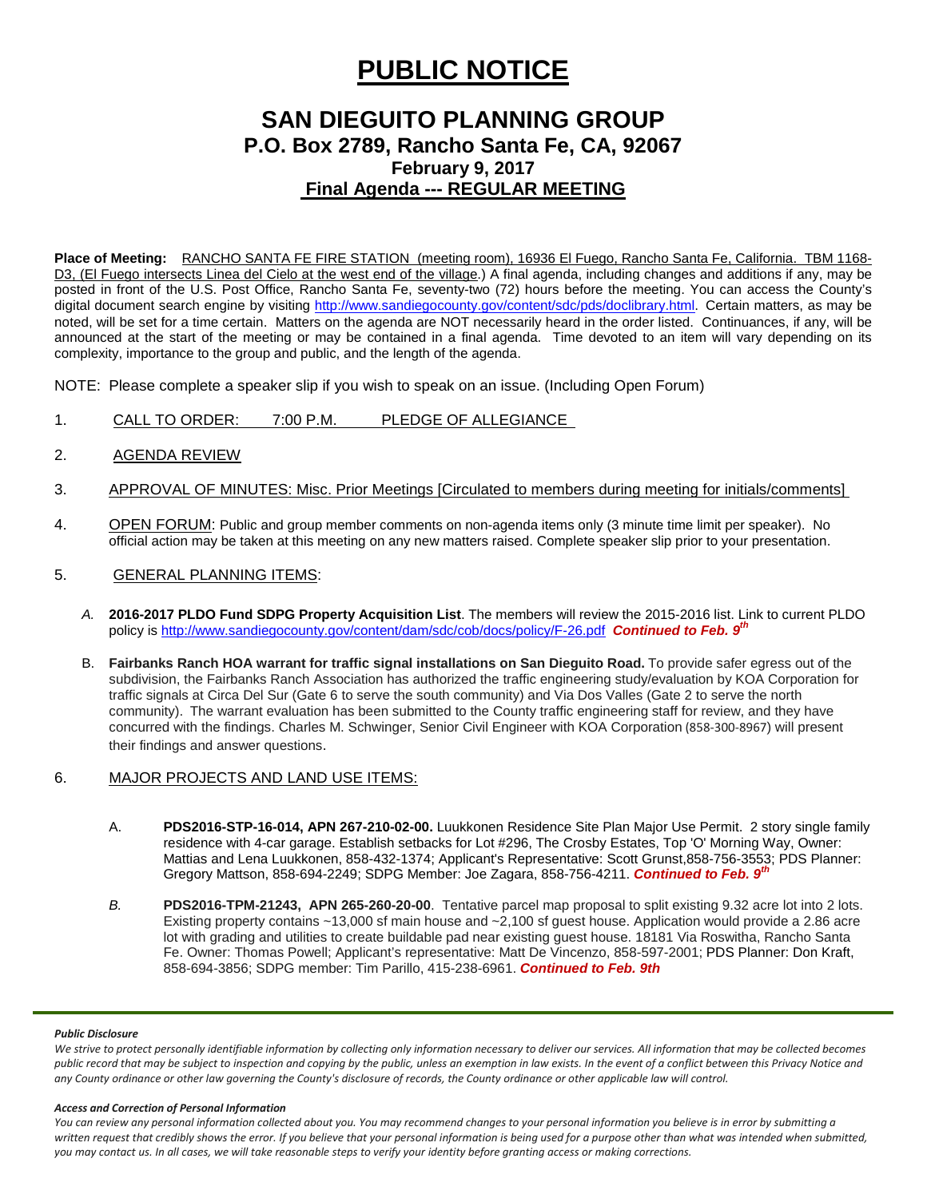# **PUBLIC NOTICE**

## **SAN DIEGUITO PLANNING GROUP P.O. Box 2789, Rancho Santa Fe, CA, 92067 February 9, 2017 Final Agenda --- REGULAR MEETING**

**Place of Meeting:** RANCHO SANTA FE FIRE STATION (meeting room), 16936 El Fuego, Rancho Santa Fe, California. TBM 1168- D3, (El Fuego intersects Linea del Cielo at the west end of the village.) A final agenda, including changes and additions if any, may be posted in front of the U.S. Post Office, Rancho Santa Fe, seventy-two (72) hours before the meeting. You can access the County's digital document search engine by visiting<http://www.sandiegocounty.gov/content/sdc/pds/doclibrary.html>. Certain matters, as may be noted, will be set for a time certain. Matters on the agenda are NOT necessarily heard in the order listed. Continuances, if any, will be announced at the start of the meeting or may be contained in a final agenda. Time devoted to an item will vary depending on its complexity, importance to the group and public, and the length of the agenda.

NOTE: Please complete a speaker slip if you wish to speak on an issue. (Including Open Forum)

- 1. CALL TO ORDER: 7:00 P.M. PLEDGE OF ALLEGIANCE
- 2. AGENDA REVIEW
- 3. APPROVAL OF MINUTES: Misc. Prior Meetings [Circulated to members during meeting for initials/comments]
- 4. OPEN FORUM: Public and group member comments on non-agenda items only (3 minute time limit per speaker). No official action may be taken at this meeting on any new matters raised. Complete speaker slip prior to your presentation.
- 5. GENERAL PLANNING ITEMS:
	- *A.* **2016-2017 PLDO Fund SDPG Property Acquisition List**. The members will review the 2015-2016 list. Link to current PLDO policy i[s http://www.sandiegocounty.gov/content/dam/sdc/cob/docs/policy/F-26.pdf](http://www.sandiegocounty.gov/content/dam/sdc/cob/docs/policy/F-26.pdf) *Continued to Feb. 9th*
	- B. **Fairbanks Ranch HOA warrant for traffic signal installations on San Dieguito Road.** To provide safer egress out of the subdivision, the Fairbanks Ranch Association has authorized the traffic engineering study/evaluation by KOA Corporation for traffic signals at Circa Del Sur (Gate 6 to serve the south community) and Via Dos Valles (Gate 2 to serve the north community). The warrant evaluation has been submitted to the County traffic engineering staff for review, and they have concurred with the findings. Charles M. Schwinger, Senior Civil Engineer with KOA Corporation [\(858-300-8967](tel:(858)%20300-8967)) will present their findings and answer questions.
- 6. MAJOR PROJECTS AND LAND USE ITEMS:
	- A. **PDS2016-STP-16-014, APN 267-210-02-00.** Luukkonen Residence Site Plan Major Use Permit. 2 story single family residence with 4-car garage. Establish setbacks for Lot #296, The Crosby Estates, Top 'O' Morning Way, Owner: Mattias and Lena Luukkonen, [858-432-1374;](tel:858-432-1374) Applicant's Representative: Scott Gruns[t,858-756-3553;](tel:858-756-3553) PDS Planner: Gregory Mattson, [858-694-2249;](tel:858-694-2249) SDPG Member: Joe Zagara, [858-756-4211.](tel:858-756-4211) *Continued to Feb. 9th*
	- *B.* **PDS2016-TPM-21243, APN 265-260-20-00**. Tentative parcel map proposal to split existing 9.32 acre lot into 2 lots. Existing property contains ~13,000 sf main house and ~2,100 sf guest house. Application would provide a 2.86 acre lot with grading and utilities to create buildable pad near existing guest house. 18181 Via Roswitha, Rancho Santa Fe. Owner: Thomas Powell; Applicant's representative: Matt De Vincenzo, 858-597-2001; PDS Planner: Don Kraft, 858-694-3856; SDPG member: Tim Parillo[, 415-238-6961.](tel:415-238-6961) *Continued to Feb. 9th*

#### *Public Disclosure*

We strive to protect personally identifiable information by collecting only information necessary to deliver our services. All information that may be collected becomes *public record that may be subject to inspection and copying by the public, unless an exemption in law exists. In the event of a conflict between this Privacy Notice and any County ordinance or other law governing the County's disclosure of records, the County ordinance or other applicable law will control.*

#### *Access and Correction of Personal Information*

*You can review any personal information collected about you. You may recommend changes to your personal information you believe is in error by submitting a written request that credibly shows the error. If you believe that your personal information is being used for a purpose other than what was intended when submitted, you may contact us. In all cases, we will take reasonable steps to verify your identity before granting access or making corrections.*